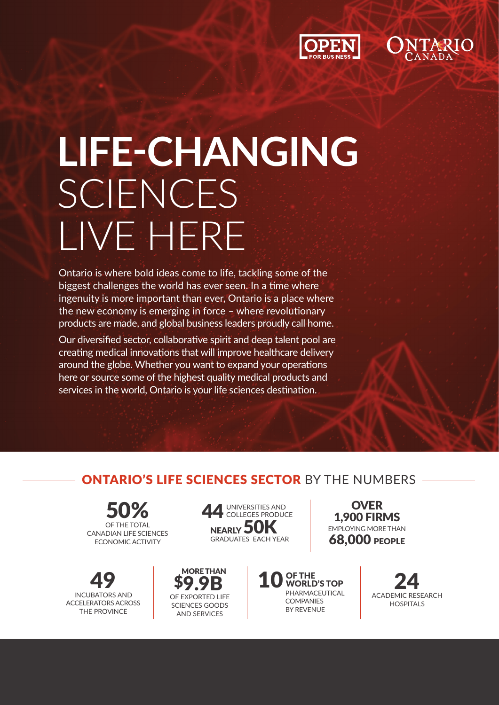



# **LIFE-CHANGING**  SCIENCES LIVE HERE

Ontario is where bold ideas come to life, tackling some of the biggest challenges the world has ever seen. In a time where ingenuity is more important than ever, Ontario is a place where the new economy is emerging in force – where revolutionary products are made, and global business leaders proudly call home.

Our diversified sector, collaborative spirit and deep talent pool are creating medical innovations that will improve healthcare delivery around the globe. Whether you want to expand your operations here or source some of the highest quality medical products and services in the world, Ontario is your life sciences destination.

> MORE THAN \$9.9B OF EXPORTED LIFE SCIENCES GOODS AND SERVICES

## ONTARIO'S LIFE SCIENCES SECTOR BY THE NUMBERS

**50%** CANADIAN LIFE SCIENCES ECONOMIC ACTIVITY

49 INCUBATORS AND ACCELERATORS ACROSS THE PROVINCE



10<sup>OF THE</sup><br>
WORLD'S TOP PHARMACEUTICAL COMPANIES BY REVENUE

**OVER** 1,900 FIRMS EMPLOYING MORE THAN **68,000 PEOPLE** 

> 24 HOSPITALS